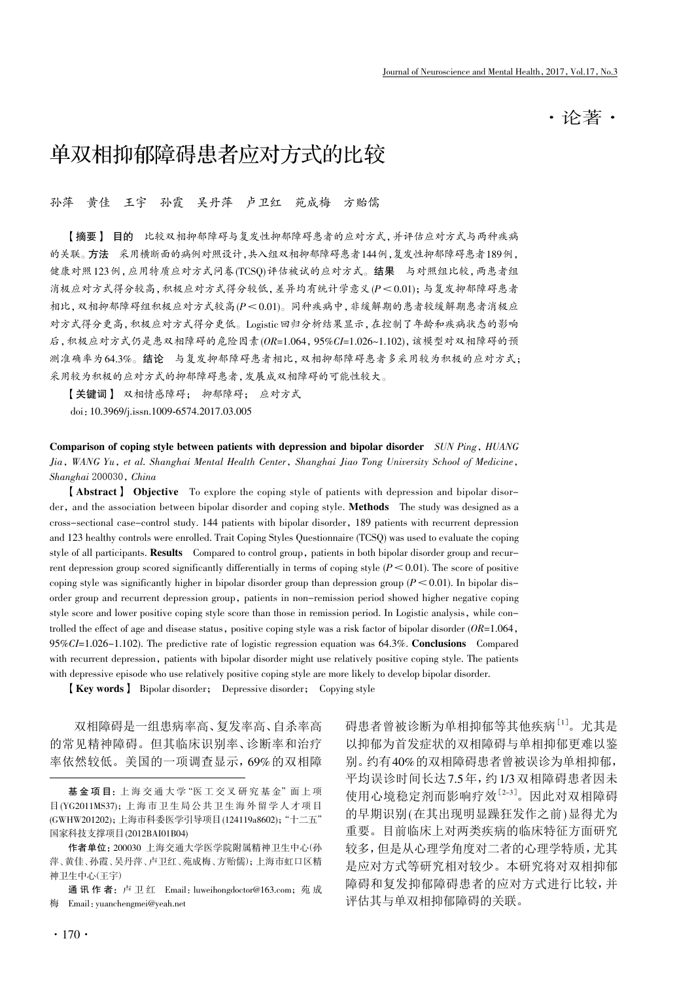·论著·

# 单双相抑郁障碍患者应对方式的比较

孙萍 黄佳 王宇 孙霞 吴丹萍 卢卫红 苑成梅 方贻儒

【摘要】 目的 比较双相抑郁障碍与复发性抑郁障碍患者的应对方式,并评估应对方式与两种疾病 的关联。方法 采用横断面的病例对照设计,共入组双相抑郁障碍患者144例,复发性抑郁障碍患者189例, 健康对照123例,应用特质应对方式问卷(TCSQ)评估被试的应对方式。结果 与对照组比较,两患者组 消极应对方式得分较高,积极应对方式得分较低,差异均有统计学意义(P<0.01);与复发抑郁障碍患者 相比,双相抑郁障碍组积极应对方式较高(P<0.01)。同种疾病中,非缓解期的患者较缓解期患者消极应 对方式得分更高,积极应对方式得分更低。Logistic回归分析结果显示,在控制了年龄和疾病状态的影响 后,积极应对方式仍是患双相障碍的危险因素(OR=1.064,95%CI=1.026~1.102),该模型对双相障碍的预 测准确率为64.3%。结论 与复发抑郁障碍患者相比,双相抑郁障碍患者多采用较为积极的应对方式; 采用较为积极的应对方式的抑郁障碍患者,发展成双相障碍的可能性较大。

【关键词】 双相情感障碍; 抑郁障碍; 应对方式

doi:10.3969/j.issn.1009-6574.2017.03.005

Comparison of coping style between patients with depression and bipolar disorder SUN Ping, HUANG Jia, WANG Yu, et al. Shanghai Mental Health Center, Shanghai Jiao Tong University School of Medicine, Shanghai 200030, China

【Abstract】 Objective To explore the coping style of patients with depression and bipolar disorder, and the association between bipolar disorder and coping style. **Methods** The study was designed as a cross-sectional case-control study. 144 patients with bipolar disorder, 189 patients with recurrent depression and 123 healthy controls were enrolled. Trait Coping Styles Questionnaire (TCSQ) was used to evaluate the coping style of all participants. Results Compared to control group, patients in both bipolar disorder group and recurrent depression group scored significantly differentially in terms of coping style  $(P<0.01)$ . The score of positive coping style was significantly higher in bipolar disorder group than depression group ( $P < 0.01$ ). In bipolar disorder group and recurrent depression group, patients in non-remission period showed higher negative coping style score and lower positive coping style score than those in remission period. In Logistic analysis, while controlled the effect of age and disease status, positive coping style was a risk factor of bipolar disorder  $(OR=1.064,$ 95%CI=1.026-1.102). The predictive rate of logistic regression equation was 64.3%. Conclusions Compared with recurrent depression, patients with bipolar disorder might use relatively positive coping style. The patients with depressive episode who use relatively positive coping style are more likely to develop bipolar disorder.

【Key words】 Bipolar disorder; Depressive disorder; Copying style

双相障碍是一组患病率高、复发率高、自杀率高 的常见精神障碍。但其临床识别率、诊断率和治疗 率依然较低。美国的一项调查显示,69%的双相障

通 讯 作 者:卢 卫 红 Email:luweihongdoctor@163.com;苑 成 梅 Email:yuanchengmei@yeah.net

碍患者曾被诊断为单相抑郁等其他疾病<sup>[1]</sup>。尤其是 以抑郁为首发症状的双相障碍与单相抑郁更难以鉴 别。约有40%的双相障碍患者曾被误诊为单相抑郁, 平均误诊时间长达7.5年,约1/3双相障碍患者因未 使用心境稳定剂而影响疗效[2-3] 。因此对双相障碍 的早期识别(在其出现明显躁狂发作之前)显得尤为 重要。目前临床上对两类疾病的临床特征方面研究 较多,但是从心理学角度对二者的心理学特质,尤其 是应对方式等研究相对较少。本研究将对双相抑郁 障碍和复发抑郁障碍患者的应对方式进行比较,并 评估其与单双相抑郁障碍的关联。

基 金 项 目:上海 交 通 大 学 "医 工 交 叉 研 究 基 金"面 上 项 目 (YG2011MS37);上 海 市 卫 生 局 公 共 卫 生 海 外 留 学 人 才 项 目 (GWHW201202);上海市科委医学引导项目 (124119a8602);"十二五" 国家科技支撑项目 (2012BAI01B04)

作者单位:200030 上海交通大学医学院附属精神卫生中心(孙 萍、黄佳、孙霞、吴丹萍、卢卫红、苑成梅、方贻儒);上海市虹口区精 神卫生中心(王宇)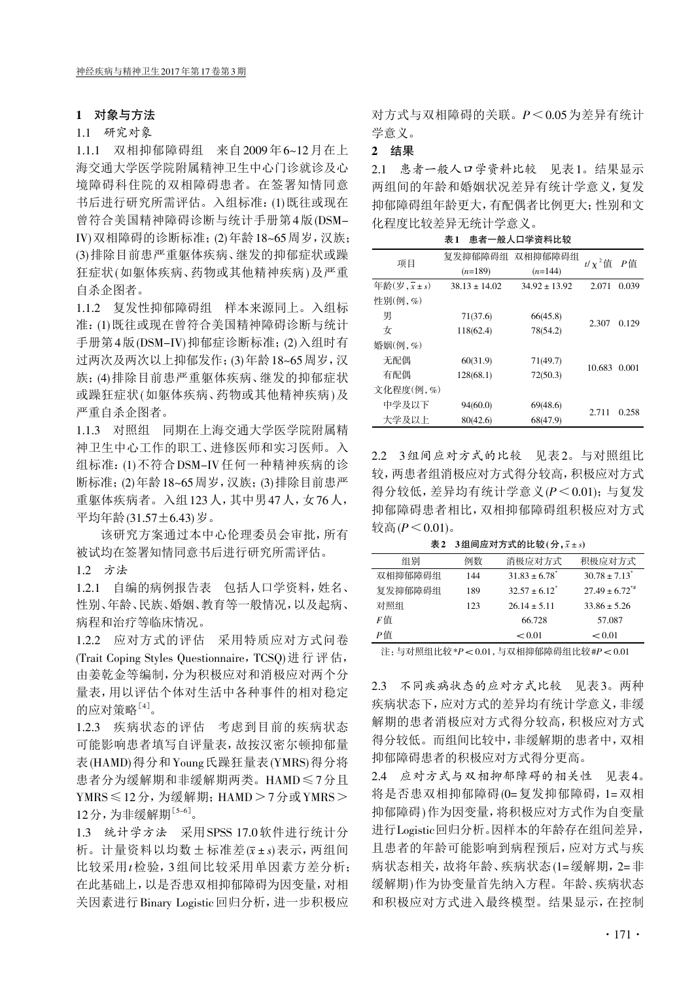### 1 对象与方法

#### 1.1 研究对象

1.1.1 双相抑郁障碍组 来自2009年6~12月在上 海交通大学医学院附属精神卫生中心门诊就诊及心 境障碍科住院的双相障碍患者。在签署知情同意 书后进行研究所需评估。入组标准:(1)既往或现在 曾符合美国精神障碍诊断与统计手册第4版(DSM-IV)双相障碍的诊断标准;(2)年龄18~65周岁,汉族; (3)排除目前患严重躯体疾病、继发的抑郁症状或躁 狂症状(如躯体疾病、药物或其他精神疾病)及严重 自杀企图者。

1.1.2 复发性抑郁障碍组 样本来源同上。入组标 准:(1)既往或现在曾符合美国精神障碍诊断与统计 手册第4版(DSM-IV)抑郁症诊断标准;(2)入组时有 过两次及两次以上抑郁发作;(3)年龄18~65周岁,汉 族;(4)排除目前患严重躯体疾病、继发的抑郁症状 或躁狂症状(如躯体疾病、药物或其他精神疾病)及 严重自杀企图者。

1.1.3 对照组 同期在上海交通大学医学院附属精 神卫生中心工作的职工、进修医师和实习医师。入 组标准:(1)不符合DSM-IV任何一种精神疾病的诊 断标准;(2)年龄18~65周岁,汉族;(3)排除目前患严 重躯体疾病者。入组123人,其中男47人,女76人, 平均年龄(31.57±6.43)岁。

该研究方案通过本中心伦理委员会审批,所有 被试均在签署知情同意书后进行研究所需评估。

1.2 方法

1.2.1 自编的病例报告表 包括人口学资料,姓名、 性别、年龄、民族、婚姻、教育等一般情况,以及起病、 病程和治疗等临床情况。

1.2.2 应对方式的评估 采用特质应对方式问卷 (Trait Coping Styles Questionnaire, TCSQ) 进行评估, 由姜乾金等编制,分为积极应对和消极应对两个分 量表,用以评估个体对生活中各种事件的相对稳定 的应对策略<sup>[4]</sup>。

1.2.3 疾病状态的评估 考虑到目前的疾病状态 可能影响患者填写自评量表,故按汉密尔顿抑郁量 表(HAMD)得分和Young氏躁狂量表(YMRS)得分将 患者分为缓解期和非缓解期两类。HAMD≤7分且 YMRS ≤12分, 为缓解期; HAMD > 7分或 YMRS > 12分,为非缓解期[5-6] 。

1.3 统计学方法 采用SPSS 17.0软件进行统计分 析。计量资料以均数+标准差(x±s)表示,两组间 比较采用t检验,3组间比较采用单因素方差分析; 在此基础上,以是否患双相抑郁障碍为因变量,对相 关因素进行Binary Logistic回归分析,进一步积极应

对方式与双相障碍的关联。P<0.05为差异有统计 学意义。

# 2 结果

2.1 患者一般人口学资料比较 见表1。结果显示 两组间的年龄和婚姻状况差异有统计学意义,复发 抑郁障碍组年龄更大,有配偶者比例更大;性别和文 化程度比较差异无统计学意义。

表1 患者一般人口学资料比较

| 项目                                      | 复发抑郁障碍组<br>$(n=189)$ | 双相抑郁障碍组<br>$(n=144)$ | $t/\chi^2$ 值 | P信    |
|-----------------------------------------|----------------------|----------------------|--------------|-------|
| 年龄 $(\overline{z}, \overline{x} \pm s)$ | $38.13 \pm 14.02$    | $34.92 \pm 13.92$    | 2.071        | 0.039 |
| 性别(例,%)                                 |                      |                      |              |       |
| 男                                       | 71(37.6)             | 66(45.8)             |              |       |
| 女                                       | 118(62.4)            | 78(54.2)             | 2.307        | 0.129 |
| 婚姻(例,%)                                 |                      |                      |              |       |
| 无配偶                                     | 60(31.9)             | 71(49.7)             |              | 0.001 |
| 有配偶                                     | 128(68.1)            | 72(50.3)             | 10.683       |       |
| 文化程度(例,%)                               |                      |                      |              |       |
| 中学及以下                                   | 94(60.0)             | 69(48.6)             |              |       |
| 大学及以上                                   | 80(42.6)             | 68(47.9)             | 2.711        | 0.258 |

2.2 3组间应对方式的比较 见表2。与对照组比 较,两患者组消极应对方式得分较高,积极应对方式 得分较低,差异均有统计学意义(P<0.01);与复发 抑郁障碍患者相比,双相抑郁障碍组积极应对方式 较高 $(P < 0.01)$ 。

表 2 3组间应对方式的比较 $($ 分, $x$ ±s)

| 组别      | 例数  | 消极应对方式                        | 积极应对方式                        |
|---------|-----|-------------------------------|-------------------------------|
| 双相抑郁障碍组 | 144 | $31.83 \pm 6.78$ <sup>*</sup> | $30.78 \pm 7.13$ <sup>*</sup> |
| 复发抑郁障碍组 | 189 | $32.57 + 6.12$ <sup>*</sup>   | $27.49 \pm 6.72^{**}$         |
| 对照组     | 123 | $2614 + 511$                  | $33.86 + 5.26$                |
| F值      |     | 66 728                        | 57.087                        |
| P信      |     | < 0.01                        | < 0.01                        |

注:与对照组比较 \*P< 0.01,与双相抑郁障碍组比较 #P< 0.01

2.3 不同疾病状态的应对方式比较 见表3。两种 疾病状态下,应对方式的差异均有统计学意义,非缓 解期的患者消极应对方式得分较高,积极应对方式 得分较低。而组间比较中,非缓解期的患者中,双相 抑郁障碍患者的积极应对方式得分更高。

2.4 应对方式与双相抑郁障碍的相关性 见表4。 将是否患双相抑郁障碍(0=复发抑郁障碍,1=双相 抑郁障碍)作为因变量,将积极应对方式作为自变量 进行Logistic回归分析。因样本的年龄存在组间差异, 且患者的年龄可能影响到病程预后,应对方式与疾 病状态相关,故将年龄、疾病状态(1=缓解期,2=非 缓解期)作为协变量首先纳入方程。年龄、疾病状态 和积极应对方式进入最终模型。结果显示,在控制